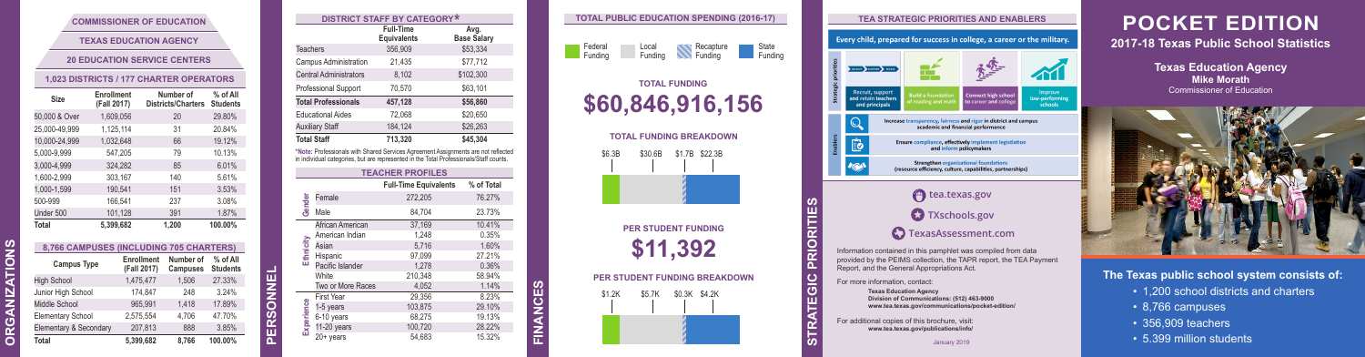| Federal | Local   | Recapture | State   |
|---------|---------|-----------|---------|
| Funding | Funding | Funding   | Funding |

### **POCKET EDITION 2017-18 Texas Public School Statistics**

**Texas Education Agency**

**The Texas public school system consists of:**

- 1,200 school districts and charters
- 8,766 campuses
- 356,909 teachers
- 5.399 million students

**TIONS ORGANIZA**

**ORGANIZ** 

ທ **ATION:** 

### **COMMISSIONER OF EDUCATION**

**TEXAS EDUCATION AGENCY**

### **20 EDUCATION SERVICE CENTERS**

#### **1,023 DISTRICTS / 177 CHARTER OPERATORS**

| Size          | Enrollment<br>(Fall 2017) | Number of<br><b>Districts/Charters</b> | % of All<br><b>Students</b> |
|---------------|---------------------------|----------------------------------------|-----------------------------|
| 50,000 & Over | 1,609,056                 | 20                                     | 29.80%                      |
| 25,000-49,999 | 1,125,114                 | 31                                     | 20.84%                      |
| 10,000-24,999 | 1,032,648                 | 66                                     | 19.12%                      |
| 5,000-9,999   | 547,205                   | 79                                     | 10.13%                      |
| 3,000-4,999   | 324,282                   | 85                                     | 6.01%                       |
| 1,600-2,999   | 303,167                   | 140                                    | 5.61%                       |
| 1,000-1,599   | 190,541                   | 151                                    | 3.53%                       |
| 500-999       | 166,541                   | 237                                    | 3.08%                       |
| Under 500     | 101,128                   | 391                                    | 1.87%                       |
| Total         | 5.399.682                 | 1.200                                  | 100.00%                     |

**8,766 CAMPUSES (INCLUDING 705 CHARTERS)**

| 0.700 CAMPUSES (INCLUDING 700 CHARTERS) |                           |                              |                             |  |  |  |
|-----------------------------------------|---------------------------|------------------------------|-----------------------------|--|--|--|
| <b>Campus Type</b>                      | Enrollment<br>(Fall 2017) | Number of<br><b>Campuses</b> | % of All<br><b>Students</b> |  |  |  |
| <b>High School</b>                      | 1.475.477                 | 1.506                        | 27.33%                      |  |  |  |
| Junior High School                      | 174,847                   | 248                          | 3.24%                       |  |  |  |
| Middle School                           | 965.991                   | 1.418                        | 17.89%                      |  |  |  |
| <b>Elementary School</b>                | 2.575.554                 | 4.706                        | 47.70%                      |  |  |  |
| Elementary & Secondary                  | 207.813                   | 888                          | 3.85%                       |  |  |  |
| Total                                   | 5.399.682                 | 8.766                        | 100.00%                     |  |  |  |

# **TEA STRATEGIC PRIORITIES AND ENABLERS** Every child, prepared for success in college, a career or the military. "大型"

**PERSONNEL**



| <b>DISTRICT STAFF BY CATEGORY*</b>                                                                                                                                          |                                        |                            |  |  |  |  |
|-----------------------------------------------------------------------------------------------------------------------------------------------------------------------------|----------------------------------------|----------------------------|--|--|--|--|
|                                                                                                                                                                             | <b>Full-Time</b><br><b>Equivalents</b> | Avg.<br><b>Base Salary</b> |  |  |  |  |
| <b>Teachers</b>                                                                                                                                                             | 356,909                                | \$53,334                   |  |  |  |  |
| Campus Administration                                                                                                                                                       | 21,435                                 | \$77,712                   |  |  |  |  |
| <b>Central Administrators</b>                                                                                                                                               | 8,102                                  | \$102,300                  |  |  |  |  |
| <b>Professional Support</b>                                                                                                                                                 | 70.570                                 | \$63,101                   |  |  |  |  |
| <b>Total Professionals</b>                                                                                                                                                  | 457,128                                | \$56,860                   |  |  |  |  |
| <b>Educational Aides</b>                                                                                                                                                    | 72.068                                 | \$20.650                   |  |  |  |  |
| <b>Auxiliary Staff</b>                                                                                                                                                      | 184,124                                | \$26.263                   |  |  |  |  |
| <b>Total Staff</b>                                                                                                                                                          | 713.320                                | \$45.304                   |  |  |  |  |
| *Note: Professionals with Shared Services Agreement Assignments are not reflected<br>in individual categories, but are represented in the Total Professionals/Staff counts. |                                        |                            |  |  |  |  |
| <b>TEACHER PROFILES</b>                                                                                                                                                     |                                        |                            |  |  |  |  |
|                                                                                                                                                                             |                                        |                            |  |  |  |  |

|            |                   | I EAUNER FRUFILES            |            |
|------------|-------------------|------------------------------|------------|
|            |                   | <b>Full-Time Equivalents</b> | % of Total |
|            | Female            | 272,205                      | 76.27%     |
| Gender     | Male              | 84,704                       | 23.73%     |
|            | African American  | 37.169                       | 10.41%     |
|            | American Indian   | 1,248                        | 0.35%      |
|            | Asian             | 5,716                        | 1.60%      |
| Ethnicity  | Hispanic          | 97.099                       | 27.21%     |
|            | Pacific Islander  | 1.278                        | 0.36%      |
|            | White             | 210,348                      | 58.94%     |
|            | Two or More Races | 4,052                        | 1.14%      |
|            | <b>First Year</b> | 29,356                       | 8.23%      |
|            | 1-5 years         | 103,875                      | 29.10%     |
|            | 6-10 years        | 68,275                       | 19.13%     |
| Experience | 11-20 years       | 100,720                      | 28.22%     |
|            | $20+$ years       | 54,683                       | 15.32%     |

**FINANCES**

 $\vec{\epsilon}$ 

### **TOTAL PUBLIC EDUCATION SPENDING (2016-17)**

## **TOTAL FUNDING \$60,846,916,156**



**PER STUDENT FUNDING \$11,392**

**PER STUDENT FUNDING BREAKDOWN**



**TEGIC PRIORITIES STRA**

္က

**RIO** 

provided by the PEIMS collection, the TAPR report, the TEA Payment Report, and the General Appropriations Act.

For more information, contact:

**Texas Education Agency Division of Communications: (512) 463-9000 www.tea.texas.gov/communications/pocket-edition/**

For additional copies of this brochure, visit: **www.tea.texas.gov/publications/info/**